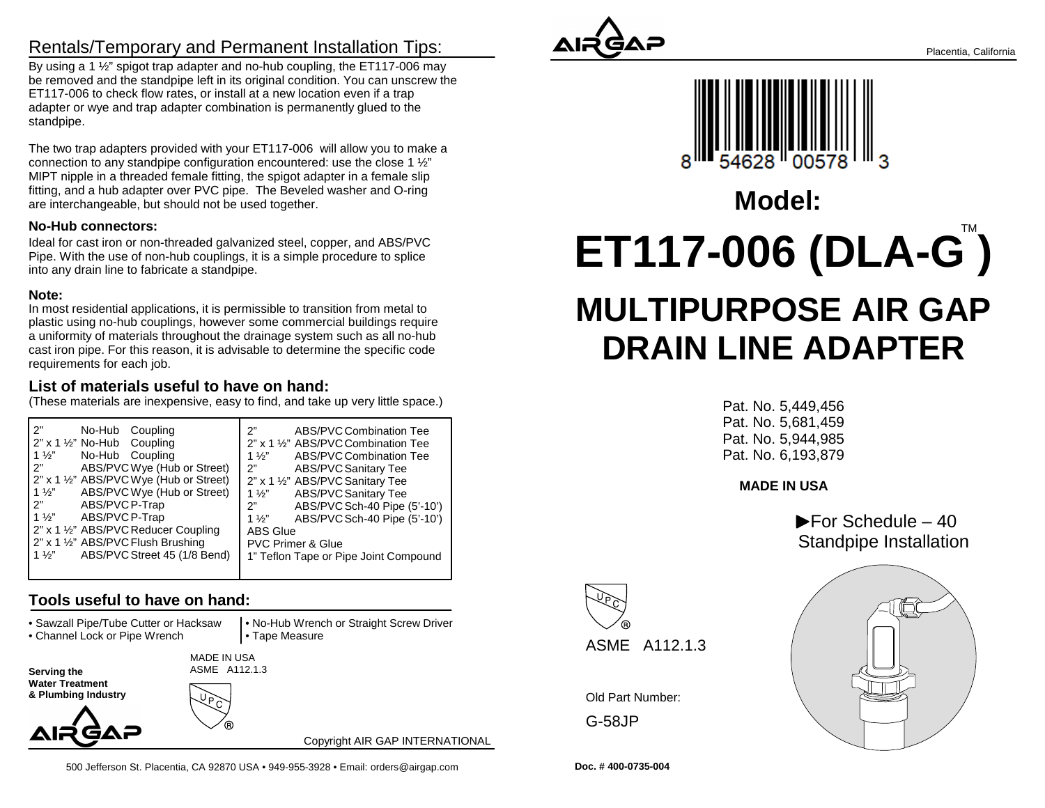## Rentals/Temporary and Permanent Installation Tips:

By using a 1 <sup>1/2</sup> spigot trap adapter and no-hub coupling, the ET117-006 may be removed and the standpipe left in its original condition. You can unscrew theET117-006 to check flow rates, or install at a new location even if a trap adapter or wye and trap adapter combination is permanently glued to thestandpipe.

The two trap adapters provided with your ET117-006 will allow you to make aconnection to any standpipe configuration encountered: use the close 1 ½" MIPT nipple in a threaded female fitting, the spigot adapter in a female slip fitting, and a hub adapter over PVC pipe. The Beveled washer and O-ringare interchangeable, but should not be used together.

#### **No-Hub connectors:**

Ideal for cast iron or non-threaded galvanized steel, copper, and ABS/PVC Pipe. With the use of non-hub couplings, it is a simple procedure to spliceinto any drain line to fabricate a standpipe.

#### **Note:**

 In most residential applications, it is permissible to transition from metal to plastic using no-hub couplings, however some commercial buildings require a uniformity of materials throughout the drainage system such as all no-hub cast iron pipe. For this reason, it is advisable to determine the specific coderequirements for each job.

### **List of materials useful to have on hand:**

(These materials are inexpensive, easy to find, and take up very little space.)

| 2"                                             | 2"                                    |
|------------------------------------------------|---------------------------------------|
| No-Hub Coupling                                | ABS/PVC Combination Tee               |
| $2"$ x 1 $\frac{1}{2}$ " No-Hub Coupling       | 2" x 1 1/2" ABS/PVC Combination Tee   |
| $1\frac{1}{2}$                                 | $1\frac{1}{2}$                        |
| No-Hub Coupling                                | ABS/PVC Combination Tee               |
| ን"                                             | 2"                                    |
| ABS/PVC Wye (Hub or Street)                    | <b>ABS/PVC Sanitary Tee</b>           |
| 2" x 1 1/2" ABS/PVC Wye (Hub or Street)        | 2" x 1 1/2" ABS/PVC Sanitary Tee      |
| ABS/PVC Wye (Hub or Street)                    | <b>ABS/PVC Sanitary Tee</b>           |
| $1\frac{1}{2}$                                 | 1 $\frac{1}{2}$                       |
| 2"                                             | ABS/PVC Sch-40 Pipe (5'-10')          |
| ABS/PVC P-Trap                                 | 2"                                    |
| $1\frac{1}{2}$                                 | ABS/PVC Sch-40 Pipe (5'-10')          |
| ABS/PVC P-Trap                                 | $1\frac{1}{2}$                        |
| 2" x 1 1/2" ABS/PVC Reducer Coupling           | <b>ABS Glue</b>                       |
| 2" x 1 1/2" ABS/PVC Flush Brushing             | <b>PVC Primer &amp; Glue</b>          |
| ABS/PVC Street 45 (1/8 Bend)<br>$1\frac{1}{2}$ | 1" Teflon Tape or Pipe Joint Compound |
|                                                |                                       |

### **Tools useful to have on hand:**

• Sawzall Pipe/Tube Cutter or Hacksaw

• Channel Lock or Pipe Wrench

 • No-Hub Wrench or Straight Screw Driver• Tape Measure

**Serving the Water Treatment** 

**& Plumbing Industry**



Copyright AIR GAP INTERNATIONAL





# **ET117-006 (DLA-G ) MULTIPURPOSE AIR GAPDRAIN LINE ADAPTER**TM**Model:**

Pat. No. 5,449,456 Pat. No. 5,681,459 Pat. No. 5,944,985Pat. No. 6,193,879

**MADE IN USA**

 $\blacktriangleright$  For Schedule – 40 Standpipe Installation





**Doc. # 400-0735-004**